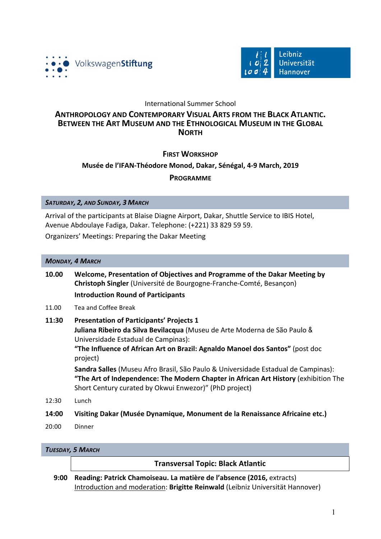



# International Summer School

# **ANTHROPOLOGY AND CONTEMPORARY VISUAL ARTS FROM THE BLACK ATLANTIC. BETWEEN THE ART MUSEUM** AND THE ETHNOLOGICAL MUSEUM IN THE GLOBAL **NORTH**

# **FIRST WORKSHOP**

# **Musée de l'IFAN-Théodore Monod, Dakar, Sénégal, 4-9 March, 2019**

# **PROGRAMME**

*SATURDAY, 2, AND SUNDAY, 3 MARCH*

Arrival of the participants at Blaise Diagne Airport, Dakar, Shuttle Service to IBIS Hotel, Avenue Abdoulaye Fadiga, Dakar. Telephone: (+221) 33 829 59 59.

Organizers' Meetings: Preparing the Dakar Meeting

#### **MONDAY, 4 MARCH**

| 10.00 | Welcome, Presentation of Objectives and Programme of the Dakar Meeting by |
|-------|---------------------------------------------------------------------------|
|       | Christoph Singler (Université de Bourgogne-Franche-Comté, Besançon)       |
|       | <b>Introduction Round of Participants</b>                                 |

11.00 Tea and Coffee Break

# **11:30 Presentation of Participants' Projects 1**

**Juliana Ribeiro da Silva Bevilacqua** (Museu de Arte Moderna de São Paulo & Universidade Estadual de Campinas):

**"The Influence of African Art on Brazil: Agnaldo Manoel dos Santos"** (post doc project)

**Sandra Salles** (Museu Afro Brasil, São Paulo & Universidade Estadual de Campinas): **"The Art of Independence: The Modern Chapter in African Art History** (exhibition The Short Century curated by Okwui Enwezor)" (PhD project)

12:30 Lunch

## **14:00** Visiting Dakar (Musée Dynamique, Monument de la Renaissance Africaine etc.)

20:00 Dinner

# *TUESDAY, 5 MARCH*

## **Transversal Topic: Black Atlantic**

**9:00 Reading: Patrick Chamoiseau. La matière de l'absence (2016, extracts)** Introduction and moderation: **Brigitte Reinwald** (Leibniz Universität Hannover)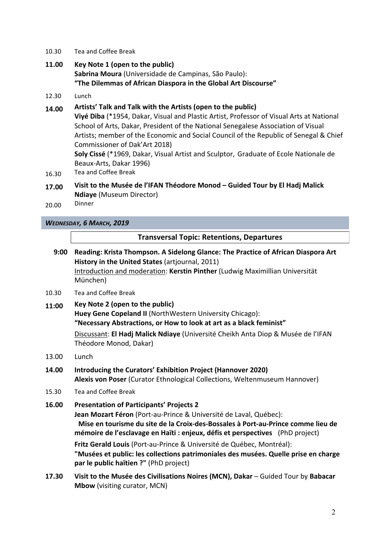- 10.30 Tea and Coffee Break
- 11.00 **Key Note 1** (open to the public) **Sabrina Moura** (Universidade de Campinas, São Paulo): "The Dilemmas of African Diaspora in the Global Art Discourse"
- 12.30 Lunch

# 14.00 Artists' Talk and Talk with the Artists (open to the public)

**Vivé Diba** (\*1954, Dakar, Visual and Plastic Artist, Professor of Visual Arts at National School of Arts, Dakar, President of the National Senegalese Association of Visual Artists; member of the Economic and Social Council of the Republic of Senegal & Chief Commissioner of Dak'Art 2018)

**Soly Cissé** (\*1969, Dakar, Visual Artist and Sculptor, Graduate of Ecole Nationale de Beaux-Arts, Dakar 1996)

- 16.30 Tea and Coffee Break
- 17.00 Visit to the Musée de l'IFAN Théodore Monod Guided Tour by El Hadj Malick **Ndiaye** (Museum Director)
- 20.00 Dinner

*WEDNESDAY, 6 MARCH, 2019*

# **Transversal Topic: Retentions, Departures**

- 9:00 Reading: Krista Thompson. A Sidelong Glance: The Practice of African Diaspora Art **History in the United States** (artiournal, 2011) Introduction and moderation: **Kerstin Pinther** (Ludwig Maximillian Universität München)
- 10.30 Tea and Coffee Break
- 11:00 **Key Note 2** (open to the public) **Huey Gene Copeland II** (NorthWestern University Chicago): **"Necessary Abstractions, or How to look at art as a black feminist"** Discussant: **El Hadj Malick Ndiaye** (Université Cheikh Anta Diop & Musée de l'IFAN Théodore Monod, Dakar)
- 13.00 Lunch
- **14.00 Introducing the Curators' Exhibition Project (Hannover 2020)** Alexis von Poser (Curator Ethnological Collections, Weltenmuseum Hannover)
- 15.30 Tea and Coffee Break

# **16.00 Presentation of Participants' Projects 2**

**Jean Mozart Féron** (Port-au-Prince & Université de Laval, Québec): **Mise en tourisme du site de la Croix-des-Bossales à Port-au-Prince comme lieu de mémoire de l'esclavage en Haïti : enjeux, défis et perspectives** (PhD project)

**Fritz Gerald Louis** (Port-au-Prince & Université de Québec, Montréal): **"Musées et public: les collections patrimoniales des musées. Quelle prise en charge par le public haïtien ?"** (PhD project)

**17.30** Visit to the Musée des Civilisations Noires (MCN), Dakar – Guided Tour by Babacar **Mbow** (visiting curator, MCN)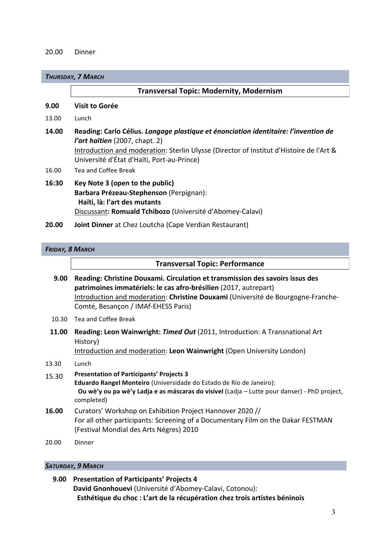#### 20.00 Dinner

#### *THURSDAY, 7 MARCH*

|       | <b>Transversal Topic: Modernity, Modernism</b>                                                                                                                                                                                                                        |
|-------|-----------------------------------------------------------------------------------------------------------------------------------------------------------------------------------------------------------------------------------------------------------------------|
| 9.00  | <b>Visit to Gorée</b>                                                                                                                                                                                                                                                 |
| 13.00 | Lunch                                                                                                                                                                                                                                                                 |
| 14.00 | Reading: Carlo Célius. Langage plastique et énonciation identitaire: l'invention de<br><i>l'art haïtien</i> (2007, chapt. 2)<br>Introduction and moderation: Sterlin Ulysse (Director of Institut d'Histoire de l'Art &<br>Université d'État d'Haïti, Port-au-Prince) |
| 16.00 | Tea and Coffee Break                                                                                                                                                                                                                                                  |
| 16:30 | Key Note 3 (open to the public)<br>Barbara Prézeau-Stephenson (Perpignan):<br>Haïti, là: l'art des mutants                                                                                                                                                            |

Discussant: Romuald Tchibozo (Université d'Abomey-Calavi)

**20.00 • Joint Dinner** at Chez Loutcha (Cape Verdian Restaurant)

# *FRIDAY, 8 MARCH*

# **Transversal Topic: Performance**

- **9.00 Reading: Christine Douxami. Circulation et transmission des savoirs issus des patrimoines immatériels: le cas afro-brésilien** (2017, autrepart) Introduction and moderation: Christine Douxami (Université de Bourgogne-Franche-Comté, Besançon / IMAf-EHESS Paris)
- 10.30 Tea and Coffee Break
- **11.00 Reading: Leon Wainwright: Timed Out** (2011, Introduction: A Transnational Art History)

Introduction and moderation: Leon Wainwright (Open University London)

## 13.30 Lunch

- 15.30 **Presentation of Participants' Projects 3 Eduardo Rangel Monteiro** (Universidade do Estado de Rio de Janeiro): **Ou wè'y ou pa wè'y Ladja e as máscaras do visível** (Ladja – Lutte pour danser) - PhD project, completed)
- **16.00** Curators' Workshop on Exhibition Project Hannover 2020 // For all other participants: Screening of a Documentary Film on the Dakar FESTMAN (Festival Mondial des Arts Négres) 2010
- 20.00 Dinner

## *SATURDAY, 9 MARCH*

```
9.00 Presentation	of	Participants'	Projects	4
David Gnonhouevi (Université d'Abomey-Calavi, Cotonou):
  Esthétique du choc : L'art de la récupération chez trois artistes béninois
```